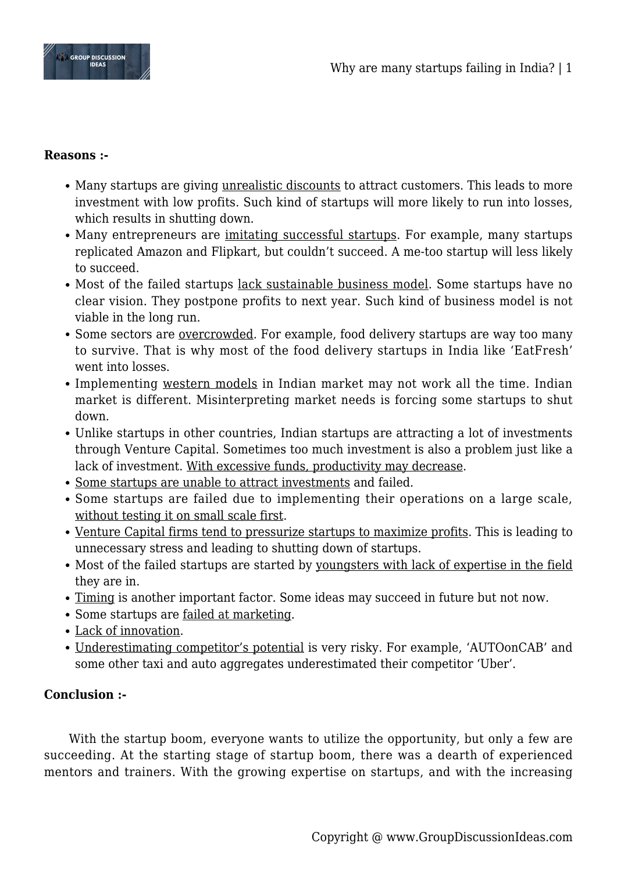

## **Reasons :-**

- Many startups are giving unrealistic discounts to attract customers. This leads to more investment with low profits. Such kind of startups will more likely to run into losses, which results in shutting down.
- Many entrepreneurs are imitating successful startups. For example, many startups replicated Amazon and Flipkart, but couldn't succeed. A me-too startup will less likely to succeed.
- Most of the failed startups <u>lack sustainable business model</u>. Some startups have no clear vision. They postpone profits to next year. Such kind of business model is not viable in the long run.
- Some sectors are overcrowded. For example, food delivery startups are way too many to survive. That is why most of the food delivery startups in India like 'EatFresh' went into losses.
- Implementing western models in Indian market may not work all the time. Indian market is different. Misinterpreting market needs is forcing some startups to shut down.
- Unlike startups in other countries, Indian startups are attracting a lot of investments through Venture Capital. Sometimes too much investment is also a problem just like a lack of investment. With excessive funds, productivity may decrease.
- Some startups are unable to attract investments and failed.
- Some startups are failed due to implementing their operations on a large scale, without testing it on small scale first.
- Venture Capital firms tend to pressurize startups to maximize profits. This is leading to unnecessary stress and leading to shutting down of startups.
- Most of the failed startups are started by youngsters with lack of expertise in the field they are in.
- Timing is another important factor. Some ideas may succeed in future but not now.
- Some startups are failed at marketing.
- Lack of innovation.
- Underestimating competitor's potential is very risky. For example, 'AUTOonCAB' and some other taxi and auto aggregates underestimated their competitor 'Uber'.

## **Conclusion :-**

With the startup boom, everyone wants to utilize the opportunity, but only a few are succeeding. At the starting stage of startup boom, there was a dearth of experienced mentors and trainers. With the growing expertise on startups, and with the increasing